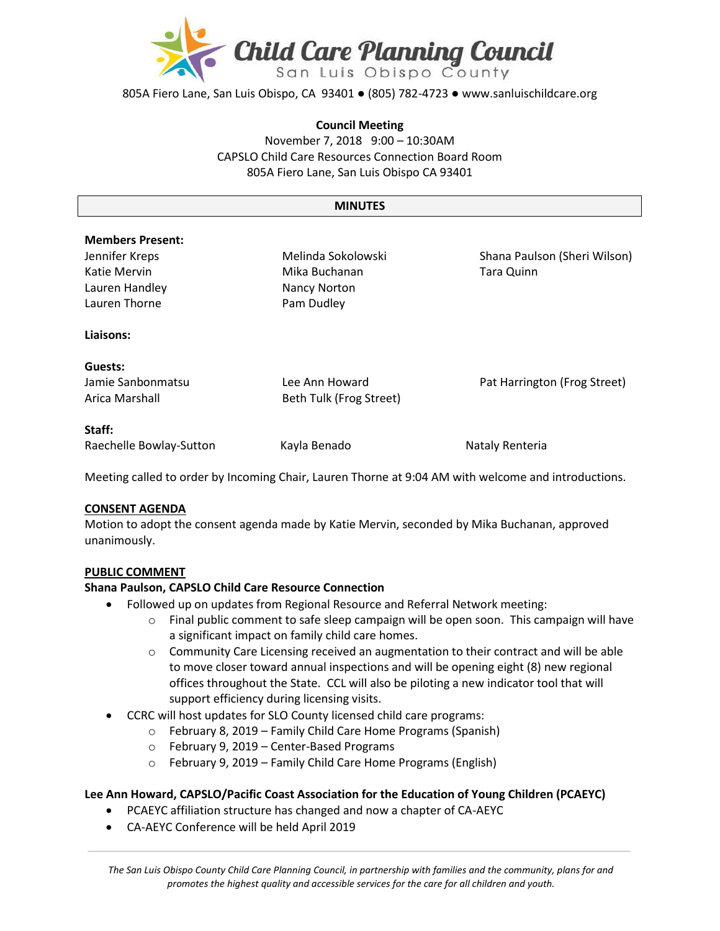

805A Fiero Lane, San Luis Obispo, CA 93401 ● (805) 782-4723 ● www.sanluischildcare.org

#### **Council Meeting**

November 7, 2018 9:00 – 10:30AM CAPSLO Child Care Resources Connection Board Room 805A Fiero Lane, San Luis Obispo CA 93401

#### **MINUTES**

#### **Members Present:**

Jennifer Kreps Katie Mervin Lauren Handley Lauren Thorne

Melinda Sokolowski Mika Buchanan Nancy Norton Pam Dudley

Shana Paulson (Sheri Wilson) Tara Quinn

Pat Harrington (Frog Street)

#### **Liaisons:**

# **Guests:**

Jamie Sanbonmatsu Arica Marshall

**Staff:**

Raechelle Bowlay-Sutton Kayla Benado Nataly Renteria

Lee Ann Howard Beth Tulk (Frog Street)

Meeting called to order by Incoming Chair, Lauren Thorne at 9:04 AM with welcome and introductions.

## **CONSENT AGENDA**

Motion to adopt the consent agenda made by Katie Mervin, seconded by Mika Buchanan, approved unanimously.

## **PUBLIC COMMENT**

## **Shana Paulson, CAPSLO Child Care Resource Connection**

- Followed up on updates from Regional Resource and Referral Network meeting:
	- $\circ$  Final public comment to safe sleep campaign will be open soon. This campaign will have a significant impact on family child care homes.
	- $\circ$  Community Care Licensing received an augmentation to their contract and will be able to move closer toward annual inspections and will be opening eight (8) new regional offices throughout the State. CCL will also be piloting a new indicator tool that will support efficiency during licensing visits.
- CCRC will host updates for SLO County licensed child care programs:
	- o February 8, 2019 Family Child Care Home Programs (Spanish)
		- o February 9, 2019 Center-Based Programs
		- o February 9, 2019 Family Child Care Home Programs (English)

## **Lee Ann Howard, CAPSLO/Pacific Coast Association for the Education of Young Children (PCAEYC)**

- PCAEYC affiliation structure has changed and now a chapter of CA-AEYC
- CA-AEYC Conference will be held April 2019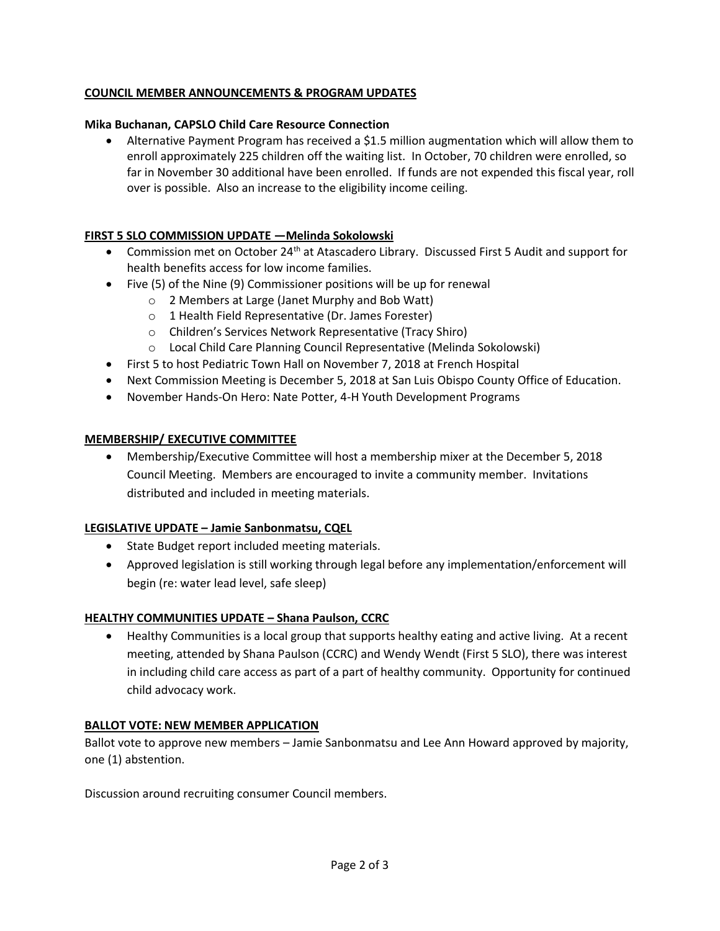# **COUNCIL MEMBER ANNOUNCEMENTS & PROGRAM UPDATES**

## **Mika Buchanan, CAPSLO Child Care Resource Connection**

 Alternative Payment Program has received a \$1.5 million augmentation which will allow them to enroll approximately 225 children off the waiting list. In October, 70 children were enrolled, so far in November 30 additional have been enrolled. If funds are not expended this fiscal year, roll over is possible. Also an increase to the eligibility income ceiling.

# **FIRST 5 SLO COMMISSION UPDATE —Melinda Sokolowski**

- Commission met on October 24<sup>th</sup> at Atascadero Library. Discussed First 5 Audit and support for health benefits access for low income families.
- Five (5) of the Nine (9) Commissioner positions will be up for renewal
	- o 2 Members at Large (Janet Murphy and Bob Watt)
	- o 1 Health Field Representative (Dr. James Forester)
	- o Children's Services Network Representative (Tracy Shiro)
	- o Local Child Care Planning Council Representative (Melinda Sokolowski)
- First 5 to host Pediatric Town Hall on November 7, 2018 at French Hospital
- Next Commission Meeting is December 5, 2018 at San Luis Obispo County Office of Education.
- November Hands-On Hero: Nate Potter, 4-H Youth Development Programs

## **MEMBERSHIP/ EXECUTIVE COMMITTEE**

 Membership/Executive Committee will host a membership mixer at the December 5, 2018 Council Meeting. Members are encouraged to invite a community member. Invitations distributed and included in meeting materials.

## **LEGISLATIVE UPDATE – Jamie Sanbonmatsu, CQEL**

- State Budget report included meeting materials.
- Approved legislation is still working through legal before any implementation/enforcement will begin (re: water lead level, safe sleep)

## **HEALTHY COMMUNITIES UPDATE – Shana Paulson, CCRC**

 Healthy Communities is a local group that supports healthy eating and active living. At a recent meeting, attended by Shana Paulson (CCRC) and Wendy Wendt (First 5 SLO), there was interest in including child care access as part of a part of healthy community. Opportunity for continued child advocacy work.

## **BALLOT VOTE: NEW MEMBER APPLICATION**

Ballot vote to approve new members – Jamie Sanbonmatsu and Lee Ann Howard approved by majority, one (1) abstention.

Discussion around recruiting consumer Council members.